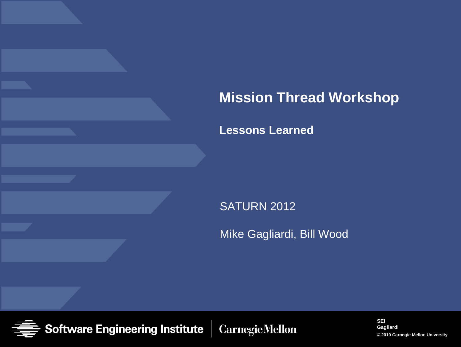### **Mission Thread Workshop**

**Lessons Learned**

SATURN 2012

Mike Gagliardi, Bill Wood

**Software Engineering Institute Carnegie Mellon**  **SEI Gagliardi © 2010 Carnegie Mellon University 1**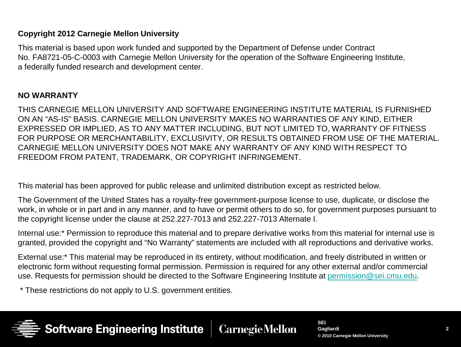#### **Copyright 2012 Carnegie Mellon University**

This material is based upon work funded and supported by the Department of Defense under Contract No. FA8721-05-C-0003 with Carnegie Mellon University for the operation of the Software Engineering Institute, a federally funded research and development center.

#### **NO WARRANTY**

THIS CARNEGIE MELLON UNIVERSITY AND SOFTWARE ENGINEERING INSTITUTE MATERIAL IS FURNISHED ON AN "AS-IS" BASIS. CARNEGIE MELLON UNIVERSITY MAKES NO WARRANTIES OF ANY KIND, EITHER EXPRESSED OR IMPLIED, AS TO ANY MATTER INCLUDING, BUT NOT LIMITED TO, WARRANTY OF FITNESS FOR PURPOSE OR MERCHANTABILITY, EXCLUSIVITY, OR RESULTS OBTAINED FROM USE OF THE MATERIAL. CARNEGIE MELLON UNIVERSITY DOES NOT MAKE ANY WARRANTY OF ANY KIND WITH RESPECT TO FREEDOM FROM PATENT, TRADEMARK, OR COPYRIGHT INFRINGEMENT.

This material has been approved for public release and unlimited distribution except as restricted below.

The Government of the United States has a royalty-free government-purpose license to use, duplicate, or disclose the work, in whole or in part and in any manner, and to have or permit others to do so, for government purposes pursuant to the copyright license under the clause at 252.227-7013 and 252.227-7013 Alternate I.

Internal use:\* Permission to reproduce this material and to prepare derivative works from this material for internal use is granted, provided the copyright and "No Warranty" statements are included with all reproductions and derivative works.

External use:\* This material may be reproduced in its entirety, without modification, and freely distributed in written or electronic form without requesting formal permission. Permission is required for any other external and/or commercial use. Requests for permission should be directed to the Software Engineering Institute at [permission@sei.cmu.edu](mailto:permission@sei.cmu.edu).

\* These restrictions do not apply to U.S. government entities.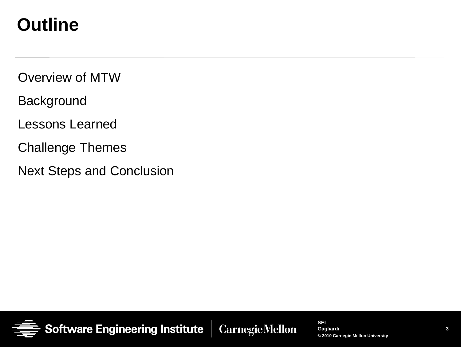## **Outline**

Overview of MTW

**Background** 

Lessons Learned

Challenge Themes

Next Steps and Conclusion



**SEI Gagliardi © 2010 Carnegie Mellon University**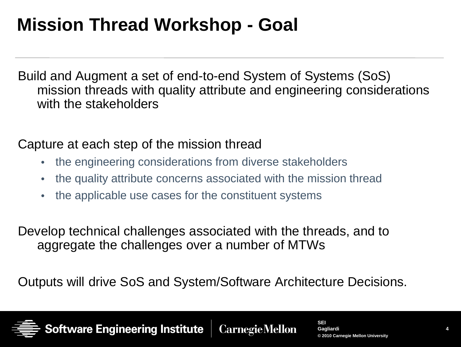## **Mission Thread Workshop - Goal**

Build and Augment a set of end-to-end System of Systems (SoS) mission threads with quality attribute and engineering considerations with the stakeholders

Capture at each step of the mission thread

- the engineering considerations from diverse stakeholders
- the quality attribute concerns associated with the mission thread
- the applicable use cases for the constituent systems

Develop technical challenges associated with the threads, and to aggregate the challenges over a number of MTWs

Outputs will drive SoS and System/Software Architecture Decisions.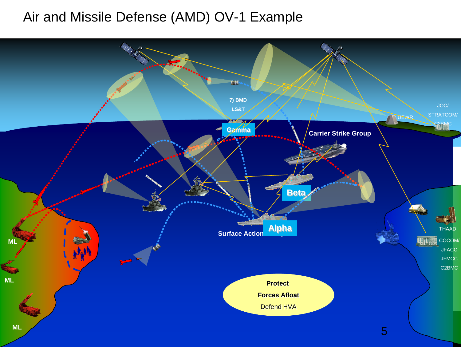### Air and Missile Defense (AMD) OV-1 Example

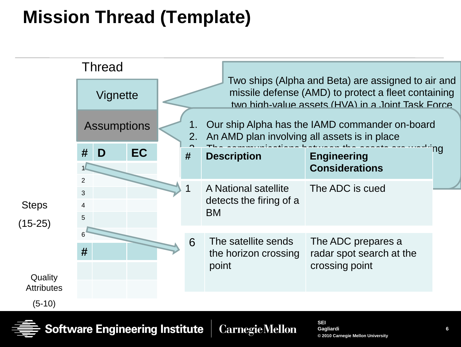# **Mission Thread (Template)**



**Gagliardi © 2010 Carnegie Mellon University**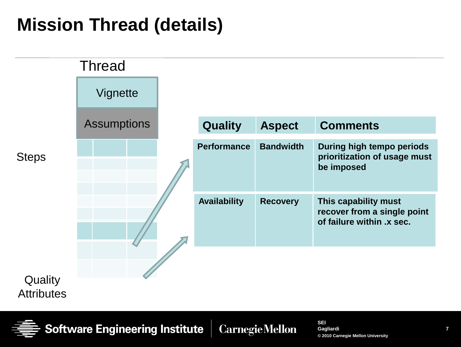# **Mission Thread (details)**



Software Engineering Institute **CarnegieMellon**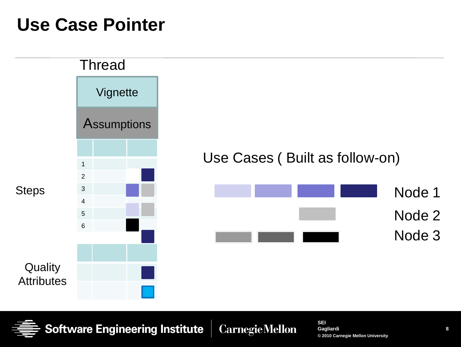### **Use Case Pointer**



**Software Engineering Institute CarnegieMellon**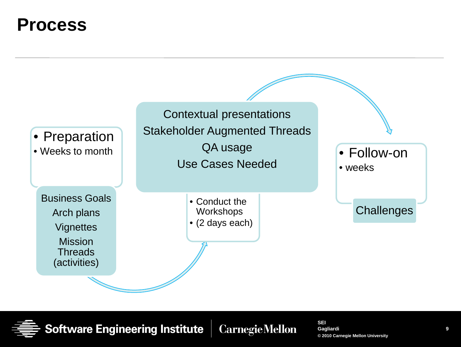### **Process**

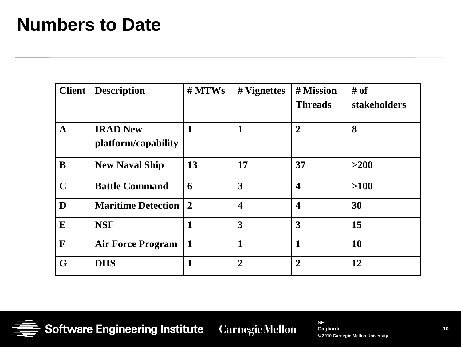### **Numbers to Date**

| <b>Client</b> | <b>Description</b>                     | $#$ MTWs       | # Vignettes             | # Mission<br><b>Threads</b> | # of<br>stakeholders |
|---------------|----------------------------------------|----------------|-------------------------|-----------------------------|----------------------|
| $\mathbf{A}$  | <b>IRAD New</b><br>platform/capability | $\mathbf{1}$   | $\mathbf{1}$            | $\overline{2}$              | 8                    |
| B             | <b>New Naval Ship</b>                  | 13             | 17                      | 37                          | >200                 |
| $\mathbf C$   | <b>Battle Command</b>                  | 6              | 3                       | $\overline{\mathbf{4}}$     | $>100$               |
| D             | <b>Maritime Detection</b>              | $\overline{2}$ | $\overline{\mathbf{4}}$ | $\overline{\mathbf{4}}$     | 30                   |
| E             | <b>NSF</b>                             | 1              | 3                       | $\overline{\mathbf{3}}$     | 15                   |
| $\mathbf{F}$  | <b>Air Force Program</b>               | $\mathbf{1}$   | 1                       | 1                           | <b>10</b>            |
| G             | <b>DHS</b>                             | 1              | $\overline{2}$          | $\overline{2}$              | 12                   |



Software Engineering Institute **Carnegie Mellon**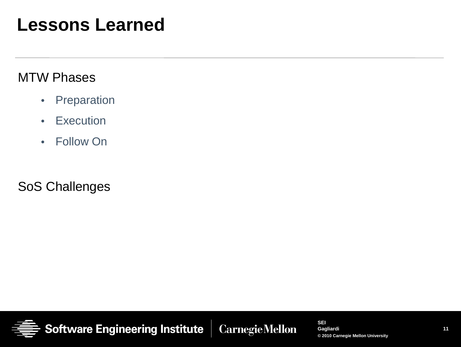### **Lessons Learned**

#### MTW Phases

- Preparation
- Execution
- Follow On

SoS Challenges



**CarnegieMellon**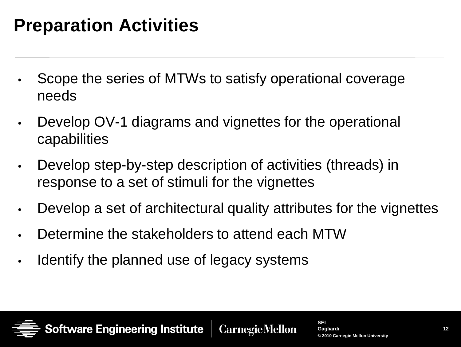# **Preparation Activities**

- Scope the series of MTWs to satisfy operational coverage needs
- Develop OV-1 diagrams and vignettes for the operational capabilities
- Develop step-by-step description of activities (threads) in response to a set of stimuli for the vignettes
- Develop a set of architectural quality attributes for the vignettes
- Determine the stakeholders to attend each MTW
- Identify the planned use of legacy systems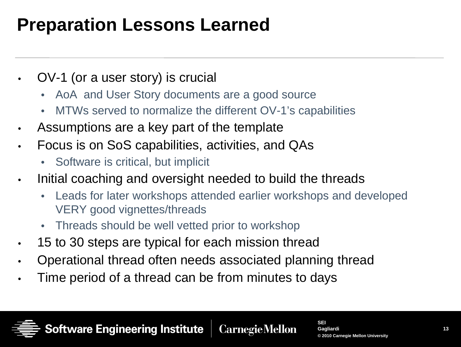# **Preparation Lessons Learned**

- OV-1 (or a user story) is crucial
	- AoA and User Story documents are a good source
	- MTWs served to normalize the different OV-1's capabilities
- Assumptions are a key part of the template
- Focus is on SoS capabilities, activities, and QAs
	- Software is critical, but implicit
- Initial coaching and oversight needed to build the threads
	- Leads for later workshops attended earlier workshops and developed VERY good vignettes/threads
	- Threads should be well vetted prior to workshop
- 15 to 30 steps are typical for each mission thread
- Operational thread often needs associated planning thread
- Time period of a thread can be from minutes to days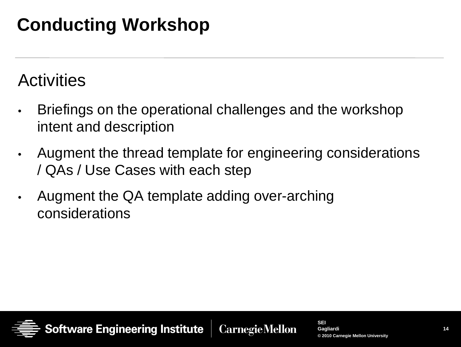# **Conducting Workshop**

### **Activities**

- Briefings on the operational challenges and the workshop intent and description
- Augment the thread template for engineering considerations / QAs / Use Cases with each step
- Augment the QA template adding over-arching considerations

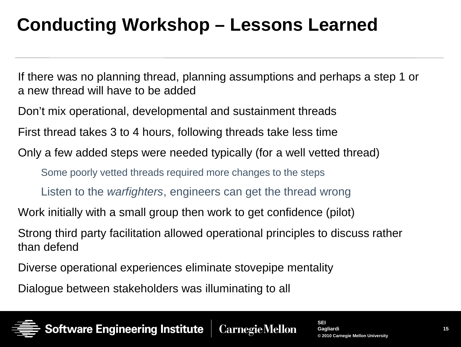# **Conducting Workshop – Lessons Learned**

If there was no planning thread, planning assumptions and perhaps a step 1 or a new thread will have to be added

Don't mix operational, developmental and sustainment threads

First thread takes 3 to 4 hours, following threads take less time

Only a few added steps were needed typically (for a well vetted thread)

Some poorly vetted threads required more changes to the steps

Listen to the *warfighters*, engineers can get the thread wrong

Work initially with a small group then work to get confidence (pilot)

Strong third party facilitation allowed operational principles to discuss rather than defend

Diverse operational experiences eliminate stovepipe mentality

Dialogue between stakeholders was illuminating to all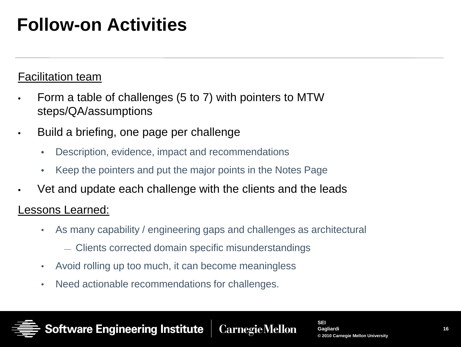## **Follow-on Activities**

#### Facilitation team

- Form a table of challenges (5 to 7) with pointers to MTW steps/QA/assumptions
- Build a briefing, one page per challenge

Software Engineering Institute

- Description, evidence, impact and recommendations
- Keep the pointers and put the major points in the Notes Page
- Vet and update each challenge with the clients and the leads

#### Lessons Learned:

• As many capability / engineering gaps and challenges as architectural

**CarnegieMellon** 

- Clients corrected domain specific misunderstandings
- Avoid rolling up too much, it can become meaningless
- Need actionable recommendations for challenges.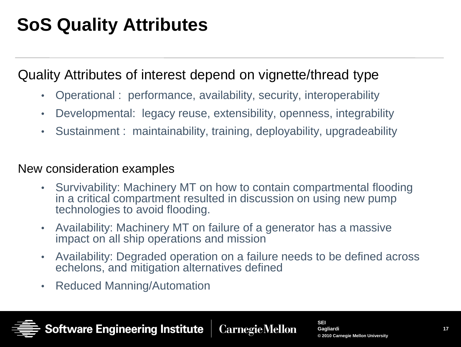# **SoS Quality Attributes**

#### Quality Attributes of interest depend on vignette/thread type

- Operational : performance, availability, security, interoperability
- Developmental: legacy reuse, extensibility, openness, integrability
- Sustainment : maintainability, training, deployability, upgradeability

#### New consideration examples

- Survivability: Machinery MT on how to contain compartmental flooding in a critical compartment resulted in discussion on using new pump technologies to avoid flooding.
- Availability: Machinery MT on failure of a generator has a massive impact on all ship operations and mission
- Availability: Degraded operation on a failure needs to be defined across echelons, and mitigation alternatives defined
- Reduced Manning/Automation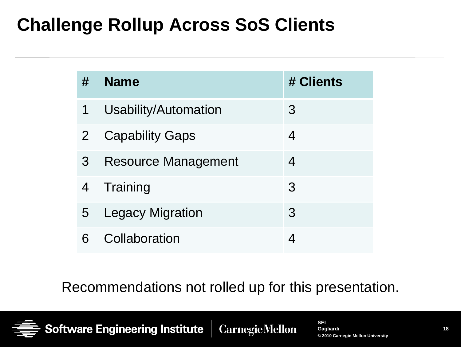## **Challenge Rollup Across SoS Clients**

| #              | <b>Name</b>             | # Clients |
|----------------|-------------------------|-----------|
| 1              | Usability/Automation    | 3         |
| $\overline{2}$ | <b>Capability Gaps</b>  | 4         |
| 3              | Resource Management     | 4         |
| 4              | Training                | 3         |
| 5              | <b>Legacy Migration</b> | 3         |
|                | Collaboration           |           |

Recommendations not rolled up for this presentation.

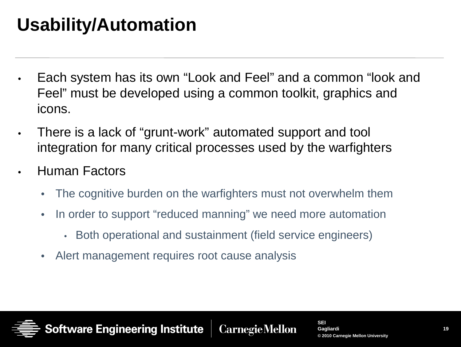# **Usability/Automation**

- Each system has its own "Look and Feel" and a common "look and Feel" must be developed using a common toolkit, graphics and icons.
- There is a lack of "grunt-work" automated support and tool integration for many critical processes used by the warfighters
- Human Factors
	- The cognitive burden on the warfighters must not overwhelm them
	- In order to support "reduced manning" we need more automation
		- Both operational and sustainment (field service engineers)
	- Alert management requires root cause analysis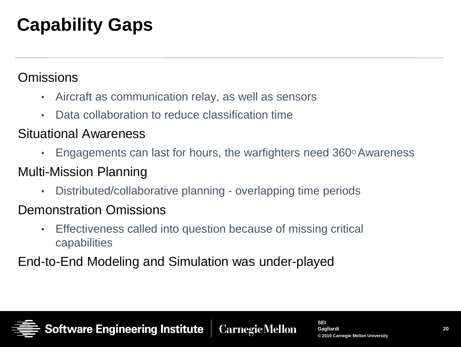# **Capability Gaps**

#### **Omissions**

- Aircraft as communication relay, as well as sensors
- Data collaboration to reduce classification time

#### Situational Awareness

• Engagements can last for hours, the warfighters need  $360^\circ$  Awareness

#### Multi-Mission Planning

• Distributed/collaborative planning - overlapping time periods

#### Demonstration Omissions

• Effectiveness called into question because of missing critical capabilities

End-to-End Modeling and Simulation was under-played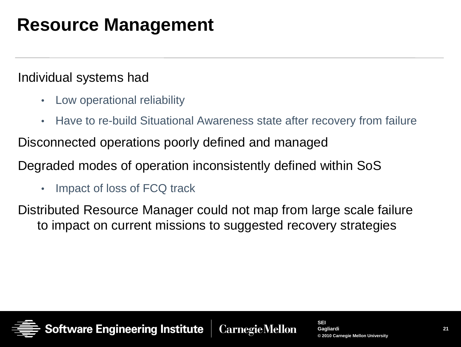## **Resource Management**

#### Individual systems had

- Low operational reliability
- Have to re-build Situational Awareness state after recovery from failure

Disconnected operations poorly defined and managed

Degraded modes of operation inconsistently defined within SoS

• Impact of loss of FCQ track

Distributed Resource Manager could not map from large scale failure to impact on current missions to suggested recovery strategies

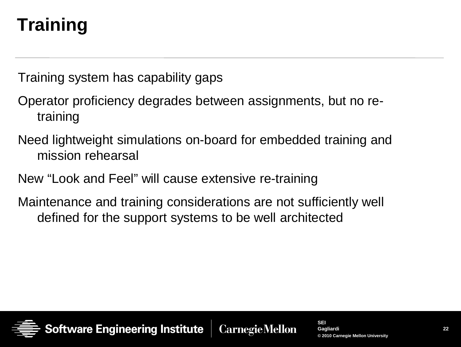# **Training**

Training system has capability gaps

- Operator proficiency degrades between assignments, but no retraining
- Need lightweight simulations on-board for embedded training and mission rehearsal
- New "Look and Feel" will cause extensive re-training
- Maintenance and training considerations are not sufficiently well defined for the support systems to be well architected

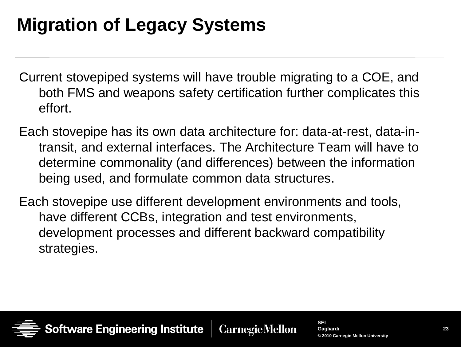# **Migration of Legacy Systems**

- Current stovepiped systems will have trouble migrating to a COE, and both FMS and weapons safety certification further complicates this effort.
- Each stovepipe has its own data architecture for: data-at-rest, data-intransit, and external interfaces. The Architecture Team will have to determine commonality (and differences) between the information being used, and formulate common data structures.
- Each stovepipe use different development environments and tools, have different CCBs, integration and test environments, development processes and different backward compatibility strategies.

**CarnegieMellon**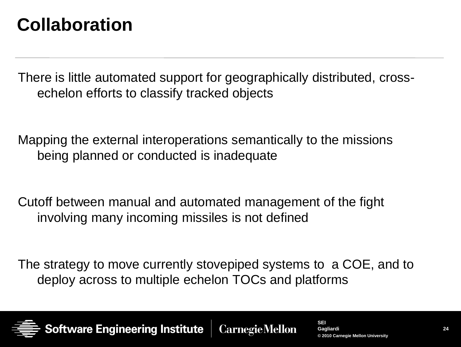## **Collaboration**

There is little automated support for geographically distributed, crossechelon efforts to classify tracked objects

Mapping the external interoperations semantically to the missions being planned or conducted is inadequate

Cutoff between manual and automated management of the fight involving many incoming missiles is not defined

The strategy to move currently stovepiped systems to a COE, and to deploy across to multiple echelon TOCs and platforms

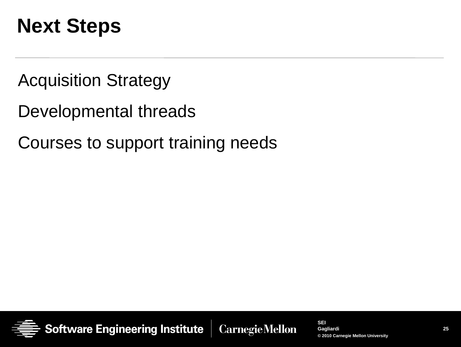# **Next Steps**

Acquisition Strategy

Developmental threads

Courses to support training needs



**Carnegie Mellon**